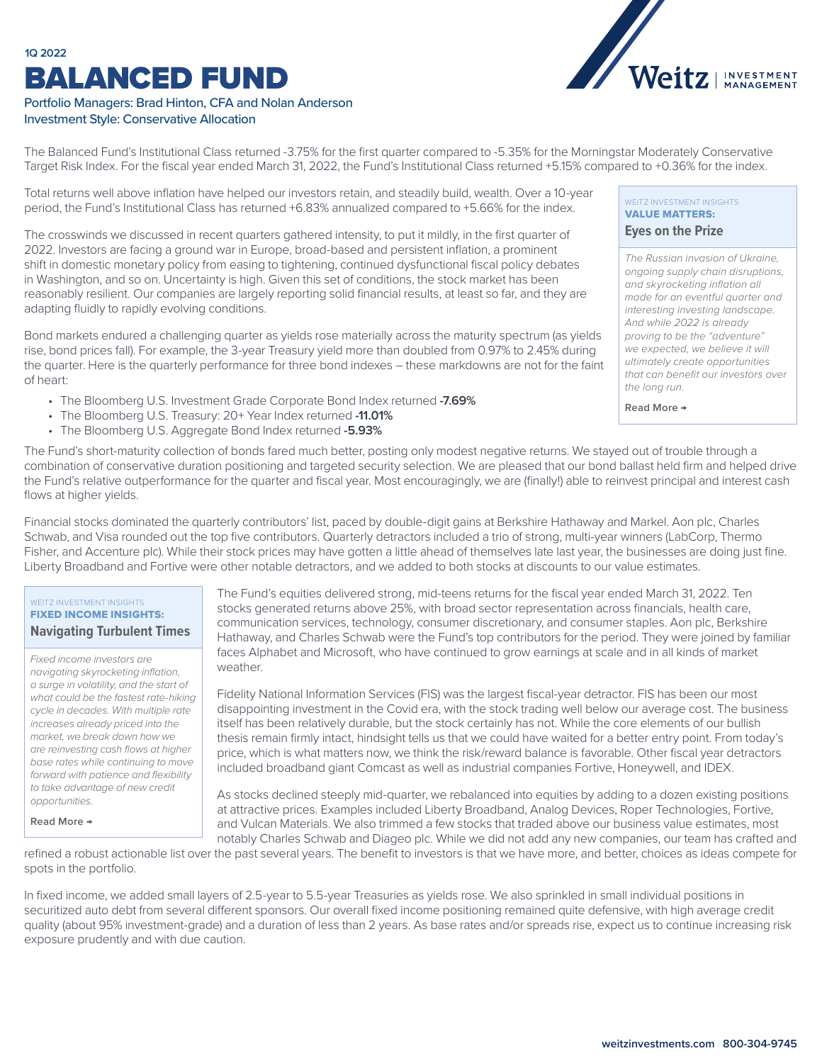## BALANCED FUND **1Q 2022**





The Balanced Fund's Institutional Class returned -3.75% for the first quarter compared to -5.35% for the Morningstar Moderately Conservative Target Risk Index. For the fiscal year ended March 31, 2022, the Fund's Institutional Class returned +5.15% compared to +0.36% for the index.

Total returns well above inflation have helped our investors retain, and steadily build, wealth. Over a 10-year period, the Fund's Institutional Class has returned +6.83% annualized compared to +5.66% for the index.

The crosswinds we discussed in recent quarters gathered intensity, to put it mildly, in the first quarter of 2022. Investors are facing a ground war in Europe, broad-based and persistent inflation, a prominent shift in domestic monetary policy from easing to tightening, continued dysfunctional fiscal policy debates in Washington, and so on. Uncertainty is high. Given this set of conditions, the stock market has been reasonably resilient. Our companies are largely reporting solid financial results, at least so far, and they are adapting fluidly to rapidly evolving conditions.

Bond markets endured a challenging quarter as yields rose materially across the maturity spectrum (as yields rise, bond prices fall). For example, the 3-year Treasury yield more than doubled from 0.97% to 2.45% during the quarter. Here is the quarterly performance for three bond indexes – these markdowns are not for the faint of heart:

- The Bloomberg U.S. Investment Grade Corporate Bond Index returned **-7.69%**
- The Bloomberg U.S. Treasury: 20+ Year Index returned **-11.01%**
- The Bloomberg U.S. Aggregate Bond Index returned **-5.93%**

#### WEITZ INVESTMENT INSIGHTS VALUE MATTERS:

#### **Eyes on the Prize**

*The Russian invasion of Ukraine, ongoing supply chain disruptions, and skyrocketing inflation all made for an eventful quarter and interesting investing landscape. And while 2022 is already proving to be the "adventure" we expected, we believe it will ultimately create opportunities [that can benefit our investors over](https://weitzinvestments.com/perspectives/investment-insights/a-162/eyes-on-the-prize.fs)  the long run.*

**Read More →**

The Fund's short-maturity collection of bonds fared much better, posting only modest negative returns. We stayed out of trouble through a combination of conservative duration positioning and targeted security selection. We are pleased that our bond ballast held firm and helped drive the Fund's relative outperformance for the quarter and fiscal year. Most encouragingly, we are (finally!) able to reinvest principal and interest cash flows at higher yields.

Financial stocks dominated the quarterly contributors' list, paced by double-digit gains at Berkshire Hathaway and Markel. Aon plc, Charles Schwab, and Visa rounded out the top five contributors. Quarterly detractors included a trio of strong, multi-year winners (LabCorp, Thermo Fisher, and Accenture plc). While their stock prices may have gotten a little ahead of themselves late last year, the businesses are doing just fine. Liberty Broadband and Fortive were other notable detractors, and we added to both stocks at discounts to our value estimates.

#### WEITZ INVESTMENT INSIGHTS FIXED INCOME INSIGHTS: **[Navigating Turbulent Times](https://weitzinvestments.com/perspectives/investment-insights/a-163/navigating-turbulent-times.fs)**

*Fixed income investors are navigating skyrocketing inflation, a surge in volatility, and the start of what could be the fastest rate-hiking cycle in decades. With multiple rate increases already priced into the market, we break down how we are reinvesting cash flows at higher base rates while continuing to move forward with patience and flexibility to take advantage of new credit opportunities.*

**Read More →**

The Fund's equities delivered strong, mid-teens returns for the fiscal year ended March 31, 2022. Ten stocks generated returns above 25%, with broad sector representation across financials, health care, communication services, technology, consumer discretionary, and consumer staples. Aon plc, Berkshire Hathaway, and Charles Schwab were the Fund's top contributors for the period. They were joined by familiar faces Alphabet and Microsoft, who have continued to grow earnings at scale and in all kinds of market weather.

Fidelity National Information Services (FIS) was the largest fiscal-year detractor. FIS has been our most disappointing investment in the Covid era, with the stock trading well below our average cost. The business itself has been relatively durable, but the stock certainly has not. While the core elements of our bullish thesis remain firmly intact, hindsight tells us that we could have waited for a better entry point. From today's price, which is what matters now, we think the risk/reward balance is favorable. Other fiscal year detractors included broadband giant Comcast as well as industrial companies Fortive, Honeywell, and IDEX.

As stocks declined steeply mid-quarter, we rebalanced into equities by adding to a dozen existing positions at attractive prices. Examples included Liberty Broadband, Analog Devices, Roper Technologies, Fortive, and Vulcan Materials. We also trimmed a few stocks that traded above our business value estimates, most notably Charles Schwab and Diageo plc. While we did not add any new companies, our team has crafted and

refined a robust actionable list over the past several years. The benefit to investors is that we have more, and better, choices as ideas compete for spots in the portfolio.

In fixed income, we added small layers of 2.5-year to 5.5-year Treasuries as yields rose. We also sprinkled in small individual positions in securitized auto debt from several different sponsors. Our overall fixed income positioning remained quite defensive, with high average credit quality (about 95% investment-grade) and a duration of less than 2 years. As base rates and/or spreads rise, expect us to continue increasing risk exposure prudently and with due caution.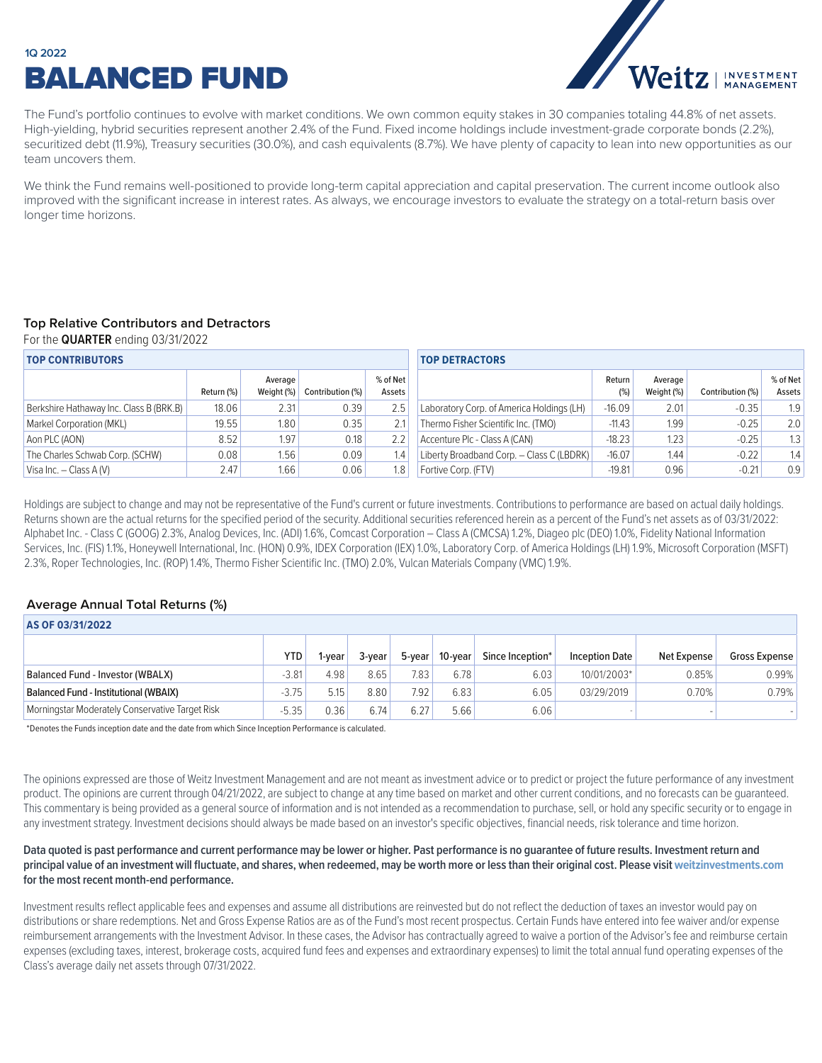## BALANCED FUND **1Q 2022**



The Fund's portfolio continues to evolve with market conditions. We own common equity stakes in 30 companies totaling 44.8% of net assets. High-yielding, hybrid securities represent another 2.4% of the Fund. Fixed income holdings include investment-grade corporate bonds (2.2%), securitized debt (11.9%), Treasury securities (30.0%), and cash equivalents (8.7%). We have plenty of capacity to lean into new opportunities as our team uncovers them.

We think the Fund remains well-positioned to provide long-term capital appreciation and capital preservation. The current income outlook also improved with the significant increase in interest rates. As always, we encourage investors to evaluate the strategy on a total-return basis over longer time horizons.

### **Top Relative Contributors and Detractors**

For the **QUARTER** ending 03/31/2022

| <b>TOP CONTRIBUTORS</b>                 |            |                       |                  |                    | <b>TOP DETRACTORS</b>                     |               |                       |                  |                    |  |
|-----------------------------------------|------------|-----------------------|------------------|--------------------|-------------------------------------------|---------------|-----------------------|------------------|--------------------|--|
|                                         | Return (%) | Average<br>Weight (%) | Contribution (%) | % of Net<br>Assets |                                           | Return<br>(%) | Average<br>Weight (%) | Contribution (%) | % of Net<br>Assets |  |
| Berkshire Hathaway Inc. Class B (BRK.B) | 18.06      | 2.31                  | 0.39             | 2.5                | Laboratory Corp. of America Holdings (LH) | $-16.09$      | 2.01                  | $-0.35$          | 1.9                |  |
| Markel Corporation (MKL)                | 19.55      | 1.80                  | 0.35             | 2.1                | Thermo Fisher Scientific Inc. (TMO)       | $-11.43$      | 1.99                  | $-0.25$          | 2.0                |  |
| Aon PLC (AON)                           | 8.52       | 1.97 <sub>1</sub>     | 0.18             | 2.2                | Accenture PIc - Class A (CAN)             | $-18.23$      | 1.23                  | $-0.25$          | 1.3                |  |
| The Charles Schwab Corp. (SCHW)         | 0.08       | 1.56                  | 0.09             | 1.4                | Liberty Broadband Corp. - Class C (LBDRK) | $-16.07$      | 1.44                  | $-0.22$          | 1.4                |  |
| Visa Inc. $-$ Class A(V)                | 2.47       | 1.66                  | 0.06             | 1.8                | Fortive Corp. (FTV)                       | $-19.81$      | 0.96                  | $-0.21$          | 0.9                |  |

Holdings are subject to change and may not be representative of the Fund's current or future investments. Contributions to performance are based on actual daily holdings. Returns shown are the actual returns for the specified period of the security. Additional securities referenced herein as a percent of the Fund's net assets as of 03/31/2022: Alphabet Inc. - Class C (GOOG) 2.3%, Analog Devices, Inc. (ADI) 1.6%, Comcast Corporation – Class A (CMCSA) 1.2%, Diageo plc (DEO) 1.0%, Fidelity National Information Services, Inc. (FIS) 1.1%, Honeywell International, Inc. (HON) 0.9%, IDEX Corporation (IEX) 1.0%, Laboratory Corp. of America Holdings (LH) 1.9%, Microsoft Corporation (MSFT) 2.3%, Roper Technologies, Inc. (ROP) 1.4%, Thermo Fisher Scientific Inc. (TMO) 2.0%, Vulcan Materials Company (VMC) 1.9%.

### **Average Annual Total Returns (%)**

| AS OF 03/31/2022                                |            |        |        |        |         |                  |                       |             |                      |  |
|-------------------------------------------------|------------|--------|--------|--------|---------|------------------|-----------------------|-------------|----------------------|--|
|                                                 | <b>YTD</b> | l-vear | 3-vear | 5-year | 10-vear | Since Inception* | <b>Inception Date</b> | Net Expense | <b>Gross Expense</b> |  |
| Balanced Fund - Investor (WBALX)                | $-3.81$    | 4.98   | 8.65   | 7.83   | 6.78    | 6.03             | 10/01/2003*           | 0.85%       | 0.99%                |  |
| <b>Balanced Fund - Institutional (WBAIX)</b>    | $-3.75'$   | 5.15   | 8.80   | 7.92   | 6.83    | 6.05             | 03/29/2019            | 0.70%       | 0.79%                |  |
| Morningstar Moderately Conservative Target Risk | $-5.35'$   | 0.36   | 6.74   | 6.27   | 5.66    | 6.06             |                       |             |                      |  |

\*Denotes the Funds inception date and the date from which Since Inception Performance is calculated.

The opinions expressed are those of Weitz Investment Management and are not meant as investment advice or to predict or project the future performance of any investment product. The opinions are current through 04/21/2022, are subject to change at any time based on market and other current conditions, and no forecasts can be guaranteed. This commentary is being provided as a general source of information and is not intended as a recommendation to purchase, sell, or hold any specific security or to engage in any investment strategy. Investment decisions should always be made based on an investor's specific objectives, financial needs, risk tolerance and time horizon.

### **Data quoted is past performance and current performance may be lower or higher. Past performance is no guarantee of future results. Investment return and**  principal value of an investment will fluctuate, and shares, when redeemed, may be worth more or less than their original cost. Please visit [weitzinvestments.com](https://weitzinvestments.com/funds/performance.fs) **for the most recent month-end performance.**

Investment results reflect applicable fees and expenses and assume all distributions are reinvested but do not reflect the deduction of taxes an investor would pay on distributions or share redemptions. Net and Gross Expense Ratios are as of the Fund's most recent prospectus. Certain Funds have entered into fee waiver and/or expense reimbursement arrangements with the Investment Advisor. In these cases, the Advisor has contractually agreed to waive a portion of the Advisor's fee and reimburse certain expenses (excluding taxes, interest, brokerage costs, acquired fund fees and expenses and extraordinary expenses) to limit the total annual fund operating expenses of the Class's average daily net assets through 07/31/2022.